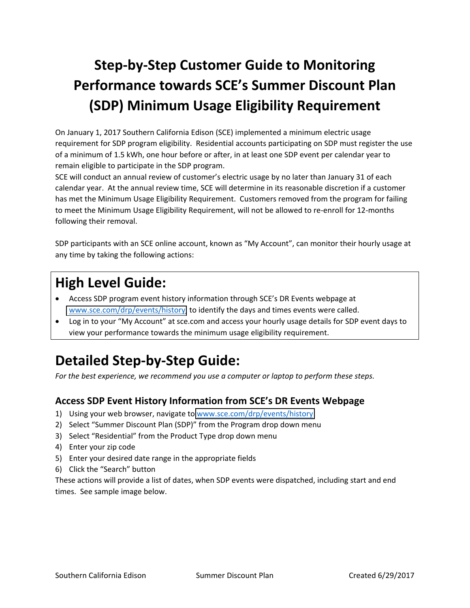# **Step‐by‐Step Customer Guide to Monitoring Performance towards SCE's Summer Discount Plan (SDP) Minimum Usage Eligibility Requirement**

On January 1, 2017 Southern California Edison (SCE) implemented a minimum electric usage requirement for SDP program eligibility. Residential accounts participating on SDP must register the use of a minimum of 1.5 kWh, one hour before or after, in at least one SDP event per calendar year to remain eligible to participate in the SDP program.

SCE will conduct an annual review of customer's electric usage by no later than January 31 of each calendar year. At the annual review time, SCE will determine in its reasonable discretion if a customer has met the Minimum Usage Eligibility Requirement. Customers removed from the program for failing to meet the Minimum Usage Eligibility Requirement, will not be allowed to re-enroll for 12-months following their removal.

SDP participants with an SCE online account, known as "My Account", can monitor their hourly usage at any time by taking the following actions:

### **High Level Guide:**

- Access SDP program event history information through SCE's DR Events webpage at [www.sce.com/drp/events/history,](https://www.sce.openadr.com/dr.website/scepr-event-history.jsf?from=drp/events/history) to identify the days and times events were called.
- Log in to your "My Account" at sce.com and access your hourly usage details for SDP event days to view your performance towards the minimum usage eligibility requirement.

## **Detailed Step‐by‐Step Guide:**

*For the best experience, we recommend you use a computer or laptop to perform these steps.*

#### **Access SDP Event History Information from SCE's DR Events Webpage**

- 1) Using your web browser, navigate to [www.sce.com/drp/events/history](https://www.sce.openadr.com/dr.website/scepr-event-history.jsf?from=drp/events/history)
- 2) Select "Summer Discount Plan (SDP)" from the Program drop down menu
- 3) Select "Residential" from the Product Type drop down menu
- 4) Enter your zip code
- 5) Enter your desired date range in the appropriate fields
- 6) Click the "Search" button

These actions will provide a list of dates, when SDP events were dispatched, including start and end times. See sample image below.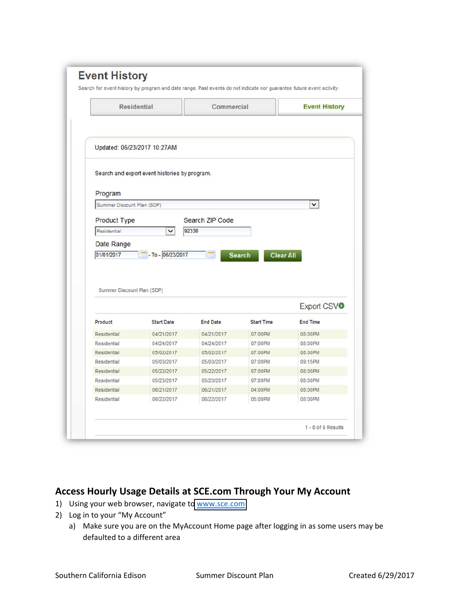|                                    | Residential                                   | Commercial               |                                   | <b>Event History</b>   |
|------------------------------------|-----------------------------------------------|--------------------------|-----------------------------------|------------------------|
|                                    | Updated: 06/23/2017 10:27AM                   |                          |                                   |                        |
|                                    | Search and export event histories by program. |                          |                                   |                        |
| Program                            |                                               |                          |                                   |                        |
| Summer Discount Plan (SDP)         |                                               |                          |                                   | v                      |
|                                    |                                               |                          |                                   |                        |
|                                    |                                               | Search ZIP Code          |                                   |                        |
| <b>Product Type</b><br>Residential | v                                             | 92336                    |                                   |                        |
| Date Range<br>01/01/2017           | $-$ - To - 06/23/2017                         |                          | <b>Clear All</b><br><b>Search</b> |                        |
| Summer Discount Plan (SDP)         |                                               |                          |                                   |                        |
|                                    |                                               |                          |                                   |                        |
| Product                            | <b>Start Date</b>                             | <b>End Date</b>          | <b>Start Time</b>                 | <b>End Time</b>        |
| Residential                        | 04/21/2017                                    | 04/21/2017               | 07:00PM                           | 08:00PM                |
| Residential<br>Residential         | 04/24/2017<br>05/02/2017                      | 04/24/2017<br>05/02/2017 | 07:00PM<br>07:00PM                | 08:00PM<br>08:00PM     |
| Residential                        | 05/03/2017                                    | 05/03/2017               | 07:00PM                           | Export CSVO<br>09:15PM |
| Residential                        | 05/22/2017                                    | 05/22/2017               | 07:00PM                           | 08:00PM                |
| Residential                        | 05/23/2017                                    | 05/23/2017               | 07:00PM                           | 08:00PM                |
| Residential                        | 06/21/2017                                    | 06/21/2017               | 04:00PM                           | 08:00PM                |

#### **Access Hourly Usage Details at SCE.com Through Your My Account**

- 1) Using your web browser, navigate to [www.sce.com](https://www.sce.com)
- 2) Log in to your "My Account"
	- a) Make sure you are on the MyAccount Home page after logging in as some users may be defaulted to a different area